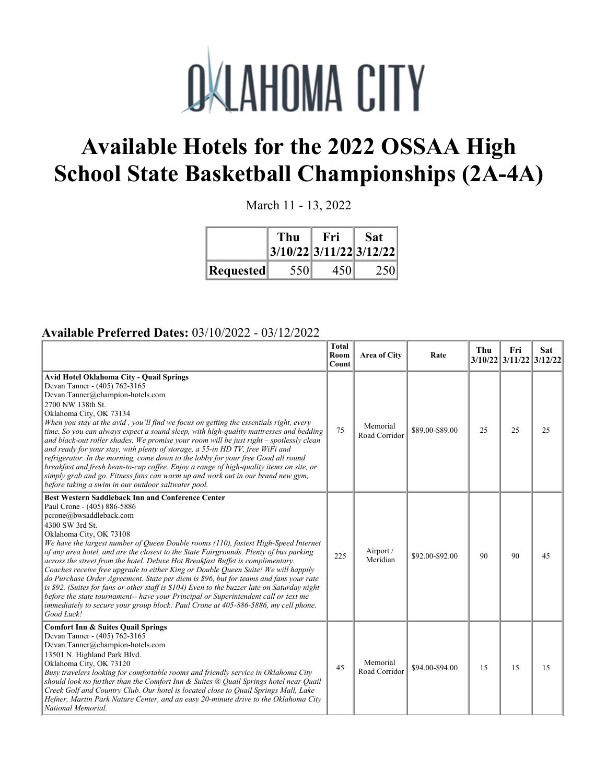

## **Available Hotels for the 2022 OSSAA High School State Basketball Championships (2A-4A)**

March 11 - 13, 2022

|           | Thu<br> 3/10/22 3/11/22 3/12/22 | Fri | <b>Sat</b> |
|-----------|---------------------------------|-----|------------|
| Requested | 550                             | 450 | 250        |

## **Available Preferred Dates:** 03/10/2022 - 03/12/2022

|                                                                                                                                                                                                                                                                                                                                                                                                                                                                                                                                                                                                                                                                                                                                                                                                                                                                                                                | <b>Total</b><br>Room<br>Count | Area of City              | Rate            | Thu | Fri<br>3/10/22 3/11/22 3/12/22 | <b>Sat</b> |
|----------------------------------------------------------------------------------------------------------------------------------------------------------------------------------------------------------------------------------------------------------------------------------------------------------------------------------------------------------------------------------------------------------------------------------------------------------------------------------------------------------------------------------------------------------------------------------------------------------------------------------------------------------------------------------------------------------------------------------------------------------------------------------------------------------------------------------------------------------------------------------------------------------------|-------------------------------|---------------------------|-----------------|-----|--------------------------------|------------|
| Avid Hotel Oklahoma City - Quail Springs<br>Devan Tanner - (405) 762-3165<br>Devan.Tanner@champion-hotels.com<br>2700 NW 138th St.<br>Oklahoma City, OK 73134<br>When you stay at the avid, you'll find we focus on getting the essentials right, every<br>time. So you can always expect a sound sleep, with high-quality mattresses and bedding<br>and black-out roller shades. We promise your room will be just right - spotlessly clean<br>and ready for your stay, with plenty of storage, a 55-in HD TV, free WiFi and<br>refrigerator. In the morning, come down to the lobby for your free Good all round<br>breakfast and fresh bean-to-cup coffee. Enjoy a range of high-quality items on site, or<br>simply grab and go. Fitness fans can warm up and work out in our brand new gym,<br>before taking a swim in our outdoor saltwater pool.                                                        | 75                            | Memorial<br>Road Corridor | \$89.00-\$89.00 | 25  | 25                             | 25         |
| <b>Best Western Saddleback Inn and Conference Center</b><br>Paul Crone - (405) 886-5886<br>pcrone@bwsaddleback.com<br>4300 SW 3rd St.<br>Oklahoma City, OK 73108<br>We have the largest number of Queen Double rooms (110), fastest High-Speed Internet<br>of any area hotel, and are the closest to the State Fairgrounds. Plenty of bus parking<br>across the street from the hotel. Deluxe Hot Breakfast Buffet is complimentary.<br>Coaches receive free upgrade to either King or Double Queen Suite! We will happily<br>do Purchase Order Agreement. State per diem is \$96, but for teams and fans your rate<br>is \$92. (Suites for fans or other staff is \$104) Even to the buzzer late on Saturday night<br>before the state tournament-- have your Principal or Superintendent call or text me<br>immediately to secure your group block: Paul Crone at 405-886-5886, my cell phone.<br>Good Luck! | 225                           | Airport /<br>Meridian     | \$92.00-\$92.00 | 90  | 90                             | 45         |
| <b>Comfort Inn &amp; Suites Quail Springs</b><br>Devan Tanner - (405) 762-3165<br>Devan.Tanner@champion-hotels.com<br>13501 N. Highland Park Blvd.<br>Oklahoma City, OK 73120<br>Busy travelers looking for comfortable rooms and friendly service in Oklahoma City<br>should look no further than the Comfort Inn & Suites ® Quail Springs hotel near Quail<br>Creek Golf and Country Club. Our hotel is located close to Quail Springs Mall, Lake<br>Hefner, Martin Park Nature Center, and an easy 20-minute drive to the Oklahoma City<br>National Memorial.                                                                                                                                                                                                                                                                                                                                               | 45                            | Memorial<br>Road Corridor | \$94.00-\$94.00 | 15  | 15                             | 15         |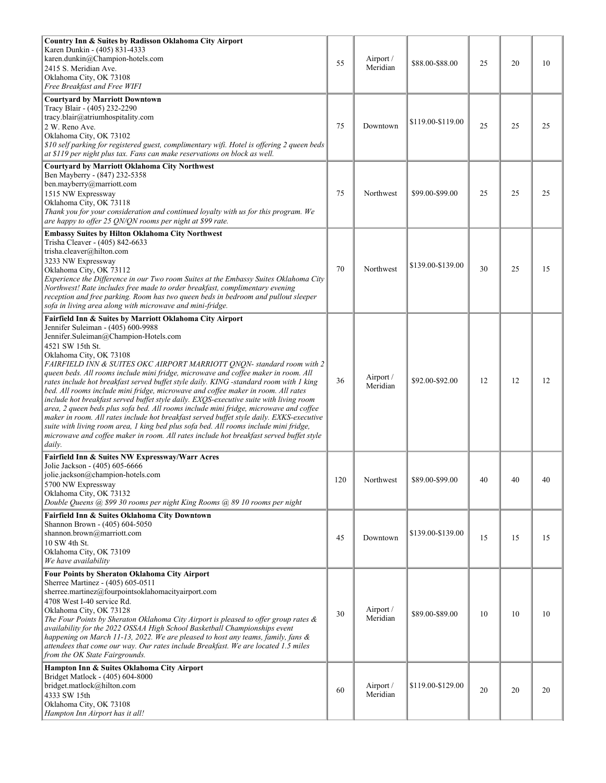| Country Inn & Suites by Radisson Oklahoma City Airport                                                                                                                                                                                                                                                                                                                                                                                                                                                                                                                                                                                                                                                                                                                                                                                                                                                                                                                                                             |     |                       |                   |    |    |    |
|--------------------------------------------------------------------------------------------------------------------------------------------------------------------------------------------------------------------------------------------------------------------------------------------------------------------------------------------------------------------------------------------------------------------------------------------------------------------------------------------------------------------------------------------------------------------------------------------------------------------------------------------------------------------------------------------------------------------------------------------------------------------------------------------------------------------------------------------------------------------------------------------------------------------------------------------------------------------------------------------------------------------|-----|-----------------------|-------------------|----|----|----|
| Karen Dunkin - (405) 831-4333<br>karen.dunkin@Champion-hotels.com<br>2415 S. Meridian Ave.<br>Oklahoma City, OK 73108<br>Free Breakfast and Free WIFI                                                                                                                                                                                                                                                                                                                                                                                                                                                                                                                                                                                                                                                                                                                                                                                                                                                              | 55  | Airport /<br>Meridian | \$88.00-\$88.00   | 25 | 20 | 10 |
| <b>Courtyard by Marriott Downtown</b>                                                                                                                                                                                                                                                                                                                                                                                                                                                                                                                                                                                                                                                                                                                                                                                                                                                                                                                                                                              |     |                       |                   |    |    |    |
| Tracy Blair - (405) 232-2290<br>tracy.blair@atriumhospitality.com<br>2 W. Reno Ave.<br>Oklahoma City, OK 73102<br>\$10 self parking for registered guest, complimentary wifi. Hotel is offering 2 queen beds<br>at \$119 per night plus tax. Fans can make reservations on block as well.                                                                                                                                                                                                                                                                                                                                                                                                                                                                                                                                                                                                                                                                                                                          | 75  | Downtown              | \$119.00-\$119.00 | 25 | 25 | 25 |
| <b>Courtyard by Marriott Oklahoma City Northwest</b><br>Ben Mayberry - (847) 232-5358<br>ben.mayberry@marriott.com<br>1515 NW Expressway<br>Oklahoma City, OK 73118<br>Thank you for your consideration and continued loyalty with us for this program. We<br>are happy to offer 25 QN/QN rooms per night at \$99 rate.                                                                                                                                                                                                                                                                                                                                                                                                                                                                                                                                                                                                                                                                                            | 75  | Northwest             | \$99.00-\$99.00   | 25 | 25 | 25 |
| Embassy Suites by Hilton Oklahoma City Northwest<br>Trisha Cleaver - (405) 842-6633<br>trisha.cleaver@hilton.com<br>3233 NW Expressway<br>Oklahoma City, OK 73112<br>Experience the Difference in our Two room Suites at the Embassy Suites Oklahoma City<br>Northwest! Rate includes free made to order breakfast, complimentary evening<br>reception and free parking. Room has two queen beds in bedroom and pullout sleeper<br>sofa in living area along with microwave and mini-fridge.                                                                                                                                                                                                                                                                                                                                                                                                                                                                                                                       | 70  | Northwest             | \$139.00-\$139.00 | 30 | 25 | 15 |
| Fairfield Inn & Suites by Marriott Oklahoma City Airport<br>Jennifer Suleiman - (405) 600-9988<br>Jennifer.Suleiman@Champion-Hotels.com<br>4521 SW 15th St.<br>Oklahoma City, OK 73108<br>FAIRFIELD INN & SUITES OKC AIRPORT MARRIOTT ONON- standard room with 2<br>queen beds. All rooms include mini fridge, microwave and coffee maker in room. All<br>rates include hot breakfast served buffet style daily. KING -standard room with 1 king<br>bed. All rooms include mini fridge, microwave and coffee maker in room. All rates<br>include hot breakfast served buffet style daily. EXQS-executive suite with living room<br>area, 2 queen beds plus sofa bed. All rooms include mini fridge, microwave and coffee<br>maker in room. All rates include hot breakfast served buffet style daily. EXKS-executive<br>suite with living room area, 1 king bed plus sofa bed. All rooms include mini fridge,<br>microwave and coffee maker in room. All rates include hot breakfast served buffet style<br>daily. | 36  | Airport /<br>Meridian | \$92.00-\$92.00   | 12 | 12 | 12 |
| Fairfield Inn & Suites NW Expressway/Warr Acres<br>Jolie Jackson - (405) 605-6666<br>jolie.jackson@champion-hotels.com<br>5700 NW Expressway<br>Oklahoma City, OK 73132<br>Double Queens @ \$99 30 rooms per night King Rooms @ 89 10 rooms per night                                                                                                                                                                                                                                                                                                                                                                                                                                                                                                                                                                                                                                                                                                                                                              | 120 | Northwest             | \$89.00-\$99.00   | 40 | 40 | 4U |
| Fairfield Inn & Suites Oklahoma City Downtown<br>Shannon Brown - (405) 604-5050<br>shannon.brown@marriott.com<br>10 SW 4th St.<br>Oklahoma City, OK 73109<br>We have availability                                                                                                                                                                                                                                                                                                                                                                                                                                                                                                                                                                                                                                                                                                                                                                                                                                  | 45  | Downtown              | \$139.00-\$139.00 | 15 | 15 | 15 |
| Four Points by Sheraton Oklahoma City Airport<br>Sherree Martinez - (405) 605-0511<br>sherree.martinez@fourpointsoklahomacityairport.com<br>4708 West I-40 service Rd.<br>Oklahoma City, OK 73128<br>The Four Points by Sheraton Oklahoma City Airport is pleased to offer group rates &<br>availability for the 2022 OSSAA High School Basketball Championships event<br>happening on March 11-13, 2022. We are pleased to host any teams, family, fans &<br>attendees that come our way. Our rates include Breakfast. We are located 1.5 miles<br>from the OK State Fairgrounds.                                                                                                                                                                                                                                                                                                                                                                                                                                 | 30  | Airport /<br>Meridian | \$89.00-\$89.00   | 10 | 10 | 10 |
| Hampton Inn & Suites Oklahoma City Airport<br>Bridget Matlock - (405) 604-8000<br>bridget.matlock@hilton.com<br>4333 SW 15th<br>Oklahoma City, OK 73108<br>Hampton Inn Airport has it all!                                                                                                                                                                                                                                                                                                                                                                                                                                                                                                                                                                                                                                                                                                                                                                                                                         | 60  | Airport /<br>Meridian | \$119.00-\$129.00 | 20 | 20 | 20 |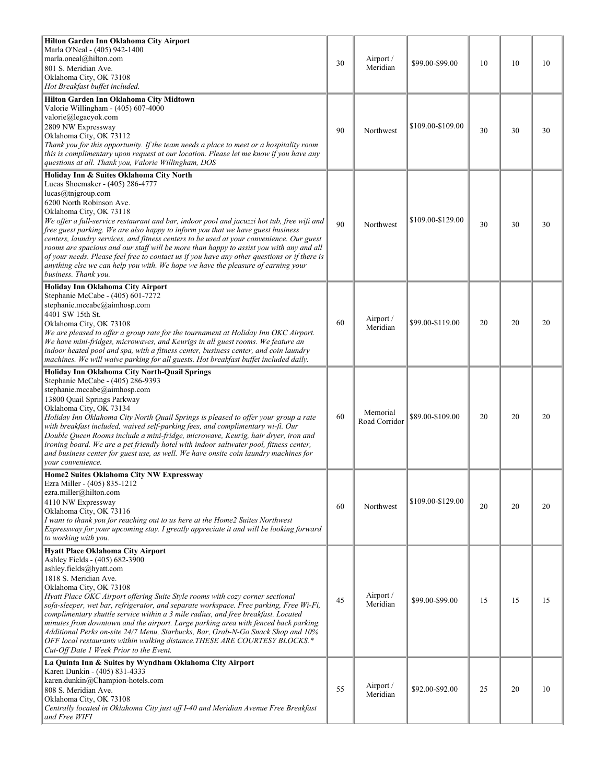| Hilton Garden Inn Oklahoma City Airport<br>Marla O'Neal - (405) 942-1400<br>marla.oneal@hilton.com<br>801 S. Meridian Ave.<br>Oklahoma City, OK 73108<br>Hot Breakfast buffet included.<br>Hilton Garden Inn Oklahoma City Midtown                                                                                                                                                                                                                                                                                                                                                                                                                                                                                                            | 30 | Airport /<br>Meridian     | \$99.00-\$99.00   | 10 | 10 | 10 |
|-----------------------------------------------------------------------------------------------------------------------------------------------------------------------------------------------------------------------------------------------------------------------------------------------------------------------------------------------------------------------------------------------------------------------------------------------------------------------------------------------------------------------------------------------------------------------------------------------------------------------------------------------------------------------------------------------------------------------------------------------|----|---------------------------|-------------------|----|----|----|
| Valorie Willingham - (405) 607-4000<br>valorie@legacyok.com<br>2809 NW Expressway<br>Oklahoma City, OK 73112<br>Thank you for this opportunity. If the team needs a place to meet or a hospitality room<br>this is complimentary upon request at our location. Please let me know if you have any<br>questions at all. Thank you, Valorie Willingham, DOS                                                                                                                                                                                                                                                                                                                                                                                     | 90 | Northwest                 | \$109.00-\$109.00 | 30 | 30 | 30 |
| Holiday Inn & Suites Oklahoma City North<br>Lucas Shoemaker - (405) 286-4777<br>lucas@tnjgroup.com<br>6200 North Robinson Ave.<br>Oklahoma City, OK 73118<br>We offer a full-service restaurant and bar, indoor pool and jacuzzi hot tub, free wift and<br>free guest parking. We are also happy to inform you that we have guest business<br>centers, laundry services, and fitness centers to be used at your convenience. Our guest<br>rooms are spacious and our staff will be more than happy to assist you with any and all<br>of your needs. Please feel free to contact us if you have any other questions or if there is<br>anything else we can help you with. We hope we have the pleasure of earning your<br>business. Thank you. | 90 | Northwest                 | \$109.00-\$129.00 | 30 | 30 | 30 |
| Holiday Inn Oklahoma City Airport<br>Stephanie McCabe - (405) 601-7272<br>stephanie.mccabe@aimhosp.com<br>4401 SW 15th St.<br>Oklahoma City, OK 73108<br>We are pleased to offer a group rate for the tournament at Holiday Inn OKC Airport.<br>We have mini-fridges, microwaves, and Keurigs in all guest rooms. We feature an<br>indoor heated pool and spa, with a fitness center, business center, and coin laundry<br>machines. We will waive parking for all guests. Hot breakfast buffet included daily.                                                                                                                                                                                                                               | 60 | Airport /<br>Meridian     | \$99.00-\$119.00  | 20 | 20 | 20 |
| Holiday Inn Oklahoma City North-Quail Springs<br>Stephanie McCabe - (405) 286-9393<br>stephanie.mccabe@aimhosp.com<br>13800 Quail Springs Parkway<br>Oklahoma City, OK 73134<br>Holiday Inn Oklahoma City North Quail Springs is pleased to offer your group a rate<br>with breakfast included, waived self-parking fees, and complimentary wi-fi. Our<br>Double Queen Rooms include a mini-fridge, microwave, Keurig, hair dryer, iron and<br>ironing board. We are a pet friendly hotel with indoor saltwater pool, fitness center,<br>and business center for guest use, as well. We have onsite coin laundry machines for<br>vour convenience.                                                                                            | 60 | Memorial<br>Road Corridor | \$89.00-\$109.00  | 20 | 20 | 20 |
| Home2 Suites Oklahoma City NW Expressway<br>Ezra Miller - (405) 835-1212<br>ezra.miller@hilton.com<br>4110 NW Expressway<br>Oklahoma City, OK 73116<br>I want to thank you for reaching out to us here at the Home2 Suites Northwest<br>Expressway for your upcoming stay. I greatly appreciate it and will be looking forward<br>to working with you.                                                                                                                                                                                                                                                                                                                                                                                        | 60 | Northwest                 | \$109.00-\$129.00 | 20 | 20 | 20 |
| <b>Hyatt Place Oklahoma City Airport</b><br>Ashley Fields - (405) 682-3900<br>ashley.fields@hyatt.com<br>1818 S. Meridian Ave.<br>Oklahoma City, OK 73108<br>Hyatt Place OKC Airport offering Suite Style rooms with cozy corner sectional<br>sofa-sleeper, wet bar, refrigerator, and separate workspace. Free parking, Free Wi-Fi,<br>complimentary shuttle service within a 3 mile radius, and free breakfast. Located<br>minutes from downtown and the airport. Large parking area with fenced back parking.<br>Additional Perks on-site 24/7 Menu, Starbucks, Bar, Grab-N-Go Snack Shop and 10%<br>OFF local restaurants within walking distance. THESE ARE COURTESY BLOCKS.*<br>Cut-Off Date 1 Week Prior to the Event.                 | 45 | Airport /<br>Meridian     | \$99.00-\$99.00   | 15 | 15 | 15 |
| La Quinta Inn & Suites by Wyndham Oklahoma City Airport<br>Karen Dunkin - (405) 831-4333<br>karen.dunkin@Champion-hotels.com<br>808 S. Meridian Ave.<br>Oklahoma City, OK 73108<br>Centrally located in Oklahoma City just off I-40 and Meridian Avenue Free Breakfast<br>and Free WIFI                                                                                                                                                                                                                                                                                                                                                                                                                                                       | 55 | Airport /<br>Meridian     | \$92.00-\$92.00   | 25 | 20 | 10 |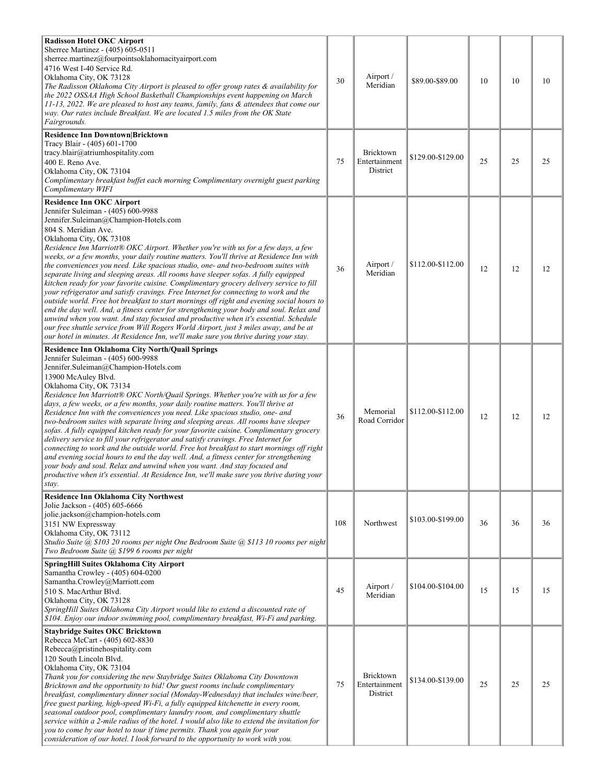| <b>Radisson Hotel OKC Airport</b><br>Sherree Martinez - (405) 605-0511<br>sherree.martinez@fourpointsoklahomacityairport.com<br>4716 West I-40 Service Rd.<br>Oklahoma City, OK 73128<br>The Radisson Oklahoma City Airport is pleased to offer group rates & availability for<br>the 2022 OSSAA High School Basketball Championships event happening on March<br>11-13, 2022. We are pleased to host any teams, family, fans & attendees that come our<br>way. Our rates include Breakfast. We are located 1.5 miles from the OK State<br>Fairgrounds.                                                                                                                                                                                                                                                                                                                                                                                                                                                                                                                                                                                                                          | 30  | Airport /<br>Meridian                         | \$89.00-\$89.00   | 10 | 10 | 10 |  |
|----------------------------------------------------------------------------------------------------------------------------------------------------------------------------------------------------------------------------------------------------------------------------------------------------------------------------------------------------------------------------------------------------------------------------------------------------------------------------------------------------------------------------------------------------------------------------------------------------------------------------------------------------------------------------------------------------------------------------------------------------------------------------------------------------------------------------------------------------------------------------------------------------------------------------------------------------------------------------------------------------------------------------------------------------------------------------------------------------------------------------------------------------------------------------------|-----|-----------------------------------------------|-------------------|----|----|----|--|
| Residence Inn Downtown Bricktown<br>Tracy Blair - (405) 601-1700<br>tracy.blair@atriumhospitality.com<br>400 E. Reno Ave.<br>Oklahoma City, OK 73104<br>Complimentary breakfast buffet each morning Complimentary overnight guest parking<br>Complimentary WIFI                                                                                                                                                                                                                                                                                                                                                                                                                                                                                                                                                                                                                                                                                                                                                                                                                                                                                                                  | 75  | Bricktown<br>Entertainment<br><b>District</b> | \$129.00-\$129.00 | 25 | 25 | 25 |  |
| <b>Residence Inn OKC Airport</b><br>Jennifer Suleiman - (405) 600-9988<br>Jennifer.Suleiman@Champion-Hotels.com<br>804 S. Meridian Ave.<br>Oklahoma City, OK 73108<br>Residence Inn Marriott® OKC Airport. Whether you're with us for a few days, a few<br>weeks, or a few months, your daily routine matters. You'll thrive at Residence Inn with<br>the conveniences you need. Like spacious studio, one- and two-bedroom suites with<br>separate living and sleeping areas. All rooms have sleeper sofas. A fully equipped<br>kitchen ready for your favorite cuisine. Complimentary grocery delivery service to fill<br>your refrigerator and satisfy cravings. Free Internet for connecting to work and the<br>outside world. Free hot breakfast to start mornings off right and evening social hours to<br>end the day well. And, a fitness center for strengthening your body and soul. Relax and<br>unwind when you want. And stay focused and productive when it's essential. Schedule<br>our free shuttle service from Will Rogers World Airport, just 3 miles away, and be at<br>our hotel in minutes. At Residence Inn, we'll make sure you thrive during your stay. | 36  | Airport /<br>Meridian                         | \$112.00-\$112.00 | 12 | 12 | 12 |  |
| <b>Residence Inn Oklahoma City North/Quail Springs</b><br>Jennifer Suleiman - (405) 600-9988<br>Jennifer.Suleiman@Champion-Hotels.com<br>13900 McAuley Blvd.<br>Oklahoma City, OK 73134<br>Residence Inn Marriott® OKC North/Quail Springs. Whether you're with us for a few<br>days, a few weeks, or a few months, your daily routine matters. You'll thrive at<br>Residence Inn with the conveniences you need. Like spacious studio, one- and<br>two-bedroom suites with separate living and sleeping areas. All rooms have sleeper<br>sofas. A fully equipped kitchen ready for your favorite cuisine. Complimentary grocery<br>delivery service to fill your refrigerator and satisfy cravings. Free Internet for<br>connecting to work and the outside world. Free hot breakfast to start mornings off right<br>and evening social hours to end the day well. And, a fitness center for strengthening<br>your body and soul. Relax and unwind when you want. And stay focused and<br>productive when it's essential. At Residence Inn, we'll make sure you thrive during your<br>stay.                                                                                     | 36  | Memorial<br>Road Corridor                     | \$112.00-\$112.00 | 12 | 12 | 12 |  |
| <b>Residence Inn Oklahoma City Northwest</b><br>Jolie Jackson - (405) 605-6666<br>jolie.jackson@champion-hotels.com<br>3151 NW Expressway<br>Oklahoma City, OK 73112<br>Studio Suite @ \$103 20 rooms per night One Bedroom Suite @ \$113 10 rooms per night<br>Two Bedroom Suite @ \$199 6 rooms per night                                                                                                                                                                                                                                                                                                                                                                                                                                                                                                                                                                                                                                                                                                                                                                                                                                                                      | 108 | Northwest                                     | \$103.00-\$199.00 | 36 | 36 | 36 |  |
| SpringHill Suites Oklahoma City Airport<br>Samantha Crowley - (405) 604-0200<br>Samantha.Crowley@Marriott.com<br>510 S. MacArthur Blvd.<br>Oklahoma City, OK 73128<br>SpringHill Suites Oklahoma City Airport would like to extend a discounted rate of<br>\$104. Enjoy our indoor swimming pool, complimentary breakfast, Wi-Fi and parking.                                                                                                                                                                                                                                                                                                                                                                                                                                                                                                                                                                                                                                                                                                                                                                                                                                    | 45  | Airport /<br>Meridian                         | \$104.00-\$104.00 | 15 | 15 | 15 |  |
| <b>Staybridge Suites OKC Bricktown</b><br>Rebecca McCart - (405) 602-8830<br>Rebecca@pristinehospitality.com<br>120 South Lincoln Blvd.<br>Oklahoma City, OK 73104<br>Thank you for considering the new Staybridge Suites Oklahoma City Downtown<br>Bricktown and the opportunity to bid! Our guest rooms include complimentary<br>breakfast, complimentary dinner social (Monday-Wednesday) that includes wine/beer,<br>free guest parking, high-speed Wi-Fi, a fully equipped kitchenette in every room,<br>seasonal outdoor pool, complimentary laundry room, and complimentary shuttle<br>service within a 2-mile radius of the hotel. I would also like to extend the invitation for<br>you to come by our hotel to tour if time permits. Thank you again for your<br>consideration of our hotel. I look forward to the opportunity to work with you.                                                                                                                                                                                                                                                                                                                       | 75  | Bricktown<br>Entertainment<br>District        | \$134.00-\$139.00 | 25 | 25 | 25 |  |